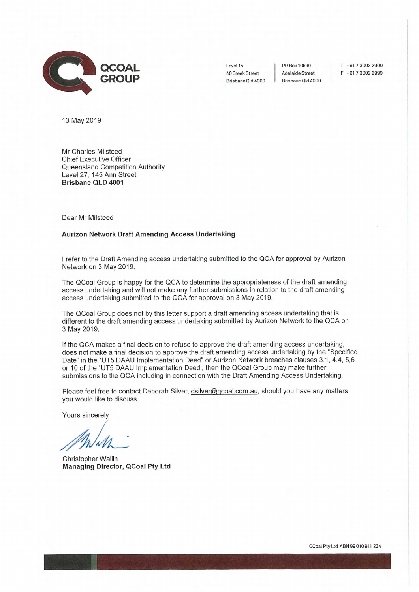

40 Creek Street Brisbane Old 4000

Adelaide Street Brisbane Old 4000

Level 15 | PO Box 10630 | T +61 7 3002 2900 F +61 7 3002 2999

13 May 2019

Mr Charles Milsteed Chief Executive Officer Queensland Competition Authority Level 27, 145 Ann Street **Brisbane QLD 4001** 

Dear Mr Milsteed

## **Aurizon Network Draft Amending Access Undertaking**

I refer to the Draft Amending access undertaking submitted to the QCA for approval by Aurizon Network on 3 May 2019.

The QCoal Group is happy for the QCA to determine the appropriateness of the draft amending access undertaking and will not make any further submissions in relation to the draft amending access undertaking submitted to the QCA for approval on 3 May 2019.

The QCoal Group does not by this letter support a draft amending access undertaking that is different to the draft amending access undertaking submitted by Aurizon Network to the QCA on 3 May 2019.

If the QCA makes a final decision to refuse to approve the draft amending access undertaking, does not make a final decision to approve the draft amending access undertaking by the "Specified Date" in the "UT5 DAAU Implementation Deed" or Aurizon Network breaches clauses 3.1, 4.4, 5,6 or 10 of the "UT5 DAAU Implementation Deed', then the QCoal Group may make further submissions to the QCA including in connection with the Draft Amending Access Undertaking.

Please feel free to contact Deborah Silver, dsilver@qcoal.com.au, should you have any matters you would like to discuss.

Yours sincerely

Christopher Wallin **Managing Director, QCoal Pty Ltd** 

0Coal Pty Ltd ABN 99 010 911 234